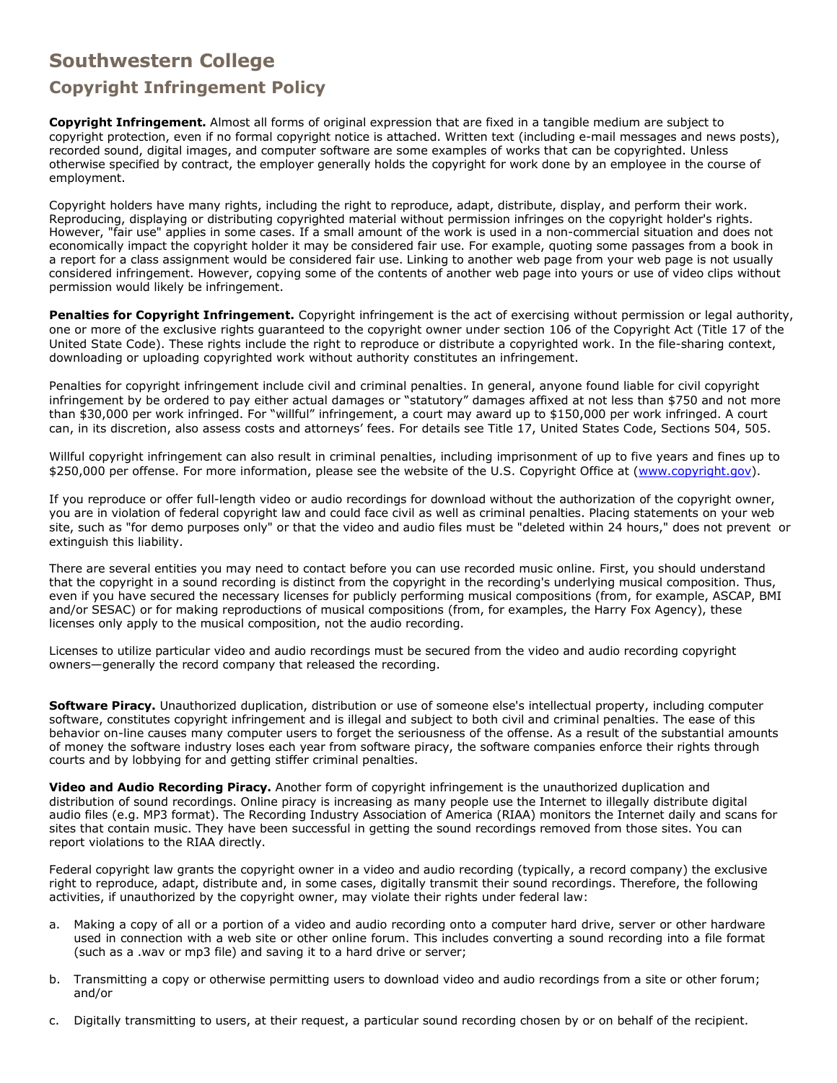## **Southwestern College**

## **Copyright Infringement Policy**

**Copyright Infringement.** Almost all forms of original expression that are fixed in a tangible medium are subject to copyright protection, even if no formal copyright notice is attached. Written text (including e-mail messages and news posts), recorded sound, digital images, and computer software are some examples of works that can be copyrighted. Unless otherwise specified by contract, the employer generally holds the copyright for work done by an employee in the course of employment.

Copyright holders have many rights, including the right to reproduce, adapt, distribute, display, and perform their work. Reproducing, displaying or distributing copyrighted material without permission infringes on the copyright holder's rights. However, "fair use" applies in some cases. If a small amount of the work is used in a non-commercial situation and does not economically impact the copyright holder it may be considered fair use. For example, quoting some passages from a book in a report for a class assignment would be considered fair use. Linking to another web page from your web page is not usually considered infringement. However, copying some of the contents of another web page into yours or use of video clips without permission would likely be infringement.

**Penalties for Copyright Infringement.** Copyright infringement is the act of exercising without permission or legal authority, one or more of the exclusive rights guaranteed to the copyright owner under section 106 of the Copyright Act (Title 17 of the United State Code). These rights include the right to reproduce or distribute a copyrighted work. In the file-sharing context, downloading or uploading copyrighted work without authority constitutes an infringement.

Penalties for copyright infringement include civil and criminal penalties. In general, anyone found liable for civil copyright infringement by be ordered to pay either actual damages or "statutory" damages affixed at not less than \$750 and not more than \$30,000 per work infringed. For "willful" infringement, a court may award up to \$150,000 per work infringed. A court can, in its discretion, also assess costs and attorneys' fees. For details see Title 17, United States Code, Sections 504, 505.

Willful copyright infringement can also result in criminal penalties, including imprisonment of up to five years and fines up to \$250,000 per offense. For more information, please see the website of the U.S. Copyright Office at [\(www.copyright.gov\)](http://www.copyright.gov/).

If you reproduce or offer full-length video or audio recordings for download without the authorization of the copyright owner, you are in violation of federal copyright law and could face civil as well as criminal penalties. Placing statements on your web site, such as "for demo purposes only" or that the video and audio files must be "deleted within 24 hours," does not prevent or extinguish this liability.

There are several entities you may need to contact before you can use recorded music online. First, you should understand that the copyright in a sound recording is distinct from the copyright in the recording's underlying musical composition. Thus, even if you have secured the necessary licenses for publicly performing musical compositions (from, for example, ASCAP, BMI and/or SESAC) or for making reproductions of musical compositions (from, for examples, the Harry Fox Agency), these licenses only apply to the musical composition, not the audio recording.

Licenses to utilize particular video and audio recordings must be secured from the video and audio recording copyright owners—generally the record company that released the recording.

**Software Piracy.** Unauthorized duplication, distribution or use of someone else's intellectual property, including computer software, constitutes copyright infringement and is illegal and subject to both civil and criminal penalties. The ease of this behavior on-line causes many computer users to forget the seriousness of the offense. As a result of the substantial amounts of money the software industry loses each year from software piracy, the software companies enforce their rights through courts and by lobbying for and getting stiffer criminal penalties.

**Video and Audio Recording Piracy.** Another form of copyright infringement is the unauthorized duplication and distribution of sound recordings. Online piracy is increasing as many people use the Internet to illegally distribute digital audio files (e.g. MP3 format). The Recording Industry Association of America (RIAA) monitors the Internet daily and scans for sites that contain music. They have been successful in getting the sound recordings removed from those sites. You can report violations to the RIAA directly.

Federal copyright law grants the copyright owner in a video and audio recording (typically, a record company) the exclusive right to reproduce, adapt, distribute and, in some cases, digitally transmit their sound recordings. Therefore, the following activities, if unauthorized by the copyright owner, may violate their rights under federal law:

- a. Making a copy of all or a portion of a video and audio recording onto a computer hard drive, server or other hardware used in connection with a web site or other online forum. This includes converting a sound recording into a file format (such as a .wav or mp3 file) and saving it to a hard drive or server;
- b. Transmitting a copy or otherwise permitting users to download video and audio recordings from a site or other forum; and/or
- c. Digitally transmitting to users, at their request, a particular sound recording chosen by or on behalf of the recipient.